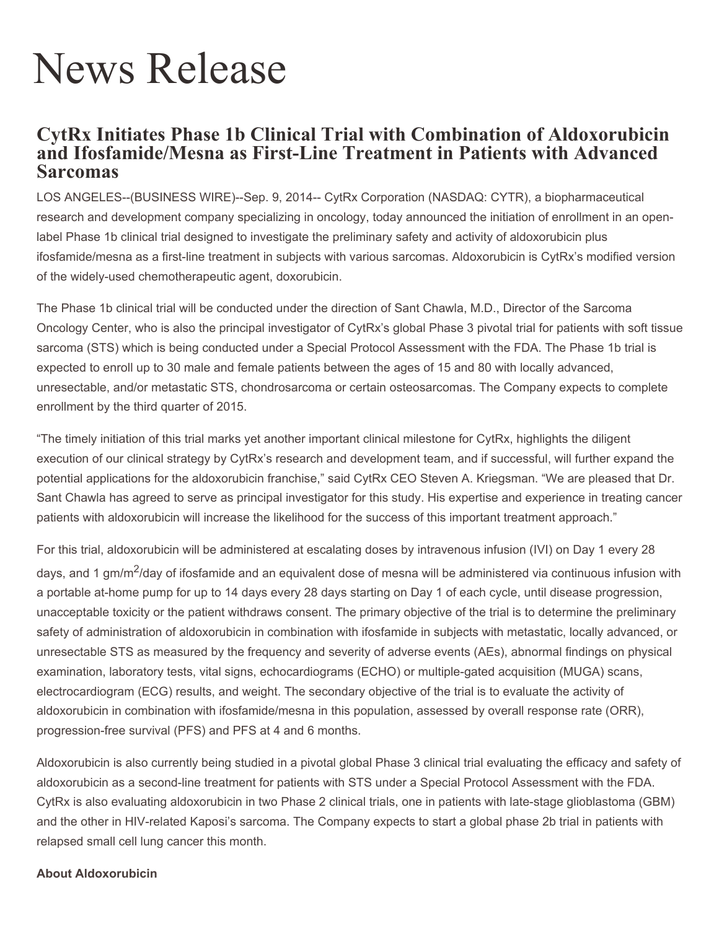# News Release

## **CytRx Initiates Phase 1b Clinical Trial with Combination of Aldoxorubicin and Ifosfamide/Mesna as First-Line Treatment in Patients with Advanced Sarcomas**

LOS ANGELES--(BUSINESS WIRE)--Sep. 9, 2014-- CytRx Corporation (NASDAQ: CYTR), a biopharmaceutical research and development company specializing in oncology, today announced the initiation of enrollment in an openlabel Phase 1b clinical trial designed to investigate the preliminary safety and activity of aldoxorubicin plus ifosfamide/mesna as a first-line treatment in subjects with various sarcomas. Aldoxorubicin is CytRx's modified version of the widely-used chemotherapeutic agent, doxorubicin.

The Phase 1b clinical trial will be conducted under the direction of Sant Chawla, M.D., Director of the Sarcoma Oncology Center, who is also the principal investigator of CytRx's global Phase 3 pivotal trial for patients with soft tissue sarcoma (STS) which is being conducted under a Special Protocol Assessment with the FDA. The Phase 1b trial is expected to enroll up to 30 male and female patients between the ages of 15 and 80 with locally advanced, unresectable, and/or metastatic STS, chondrosarcoma or certain osteosarcomas. The Company expects to complete enrollment by the third quarter of 2015.

"The timely initiation of this trial marks yet another important clinical milestone for CytRx, highlights the diligent execution of our clinical strategy by CytRx's research and development team, and if successful, will further expand the potential applications for the aldoxorubicin franchise," said CytRx CEO Steven A. Kriegsman. "We are pleased that Dr. Sant Chawla has agreed to serve as principal investigator for this study. His expertise and experience in treating cancer patients with aldoxorubicin will increase the likelihood for the success of this important treatment approach."

For this trial, aldoxorubicin will be administered at escalating doses by intravenous infusion (IVI) on Day 1 every 28 days, and 1 gm/m<sup>2</sup>/day of ifosfamide and an equivalent dose of mesna will be administered via continuous infusion with a portable at-home pump for up to 14 days every 28 days starting on Day 1 of each cycle, until disease progression, unacceptable toxicity or the patient withdraws consent. The primary objective of the trial is to determine the preliminary safety of administration of aldoxorubicin in combination with ifosfamide in subjects with metastatic, locally advanced, or unresectable STS as measured by the frequency and severity of adverse events (AEs), abnormal findings on physical examination, laboratory tests, vital signs, echocardiograms (ECHO) or multiple-gated acquisition (MUGA) scans, electrocardiogram (ECG) results, and weight. The secondary objective of the trial is to evaluate the activity of aldoxorubicin in combination with ifosfamide/mesna in this population, assessed by overall response rate (ORR), progression-free survival (PFS) and PFS at 4 and 6 months.

Aldoxorubicin is also currently being studied in a pivotal global Phase 3 clinical trial evaluating the efficacy and safety of aldoxorubicin as a second-line treatment for patients with STS under a Special Protocol Assessment with the FDA. CytRx is also evaluating aldoxorubicin in two Phase 2 clinical trials, one in patients with late-stage glioblastoma (GBM) and the other in HIV-related Kaposi's sarcoma. The Company expects to start a global phase 2b trial in patients with relapsed small cell lung cancer this month.

#### **About Aldoxorubicin**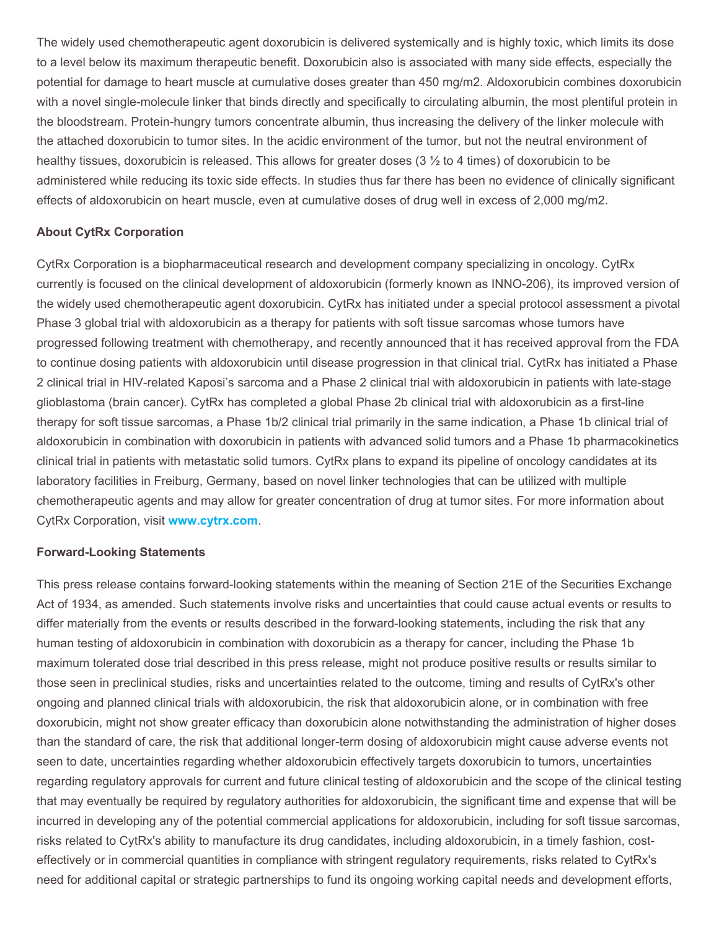The widely used chemotherapeutic agent doxorubicin is delivered systemically and is highly toxic, which limits its dose to a level below its maximum therapeutic benefit. Doxorubicin also is associated with many side effects, especially the potential for damage to heart muscle at cumulative doses greater than 450 mg/m2. Aldoxorubicin combines doxorubicin with a novel single-molecule linker that binds directly and specifically to circulating albumin, the most plentiful protein in the bloodstream. Protein-hungry tumors concentrate albumin, thus increasing the delivery of the linker molecule with the attached doxorubicin to tumor sites. In the acidic environment of the tumor, but not the neutral environment of healthy tissues, doxorubicin is released. This allows for greater doses (3 ½ to 4 times) of doxorubicin to be administered while reducing its toxic side effects. In studies thus far there has been no evidence of clinically significant effects of aldoxorubicin on heart muscle, even at cumulative doses of drug well in excess of 2,000 mg/m2.

### **About CytRx Corporation**

CytRx Corporation is a biopharmaceutical research and development company specializing in oncology. CytRx currently is focused on the clinical development of aldoxorubicin (formerly known as INNO-206), its improved version of the widely used chemotherapeutic agent doxorubicin. CytRx has initiated under a special protocol assessment a pivotal Phase 3 global trial with aldoxorubicin as a therapy for patients with soft tissue sarcomas whose tumors have progressed following treatment with chemotherapy, and recently announced that it has received approval from the FDA to continue dosing patients with aldoxorubicin until disease progression in that clinical trial. CytRx has initiated a Phase 2 clinical trial in HIV-related Kaposi's sarcoma and a Phase 2 clinical trial with aldoxorubicin in patients with late-stage glioblastoma (brain cancer). CytRx has completed a global Phase 2b clinical trial with aldoxorubicin as a first-line therapy for soft tissue sarcomas, a Phase 1b/2 clinical trial primarily in the same indication, a Phase 1b clinical trial of aldoxorubicin in combination with doxorubicin in patients with advanced solid tumors and a Phase 1b pharmacokinetics clinical trial in patients with metastatic solid tumors. CytRx plans to expand its pipeline of oncology candidates at its laboratory facilities in Freiburg, Germany, based on novel linker technologies that can be utilized with multiple chemotherapeutic agents and may allow for greater concentration of drug at tumor sites. For more information about CytRx Corporation, visit **www.cytrx.com**.

#### **Forward-Looking Statements**

This press release contains forward-looking statements within the meaning of Section 21E of the Securities Exchange Act of 1934, as amended. Such statements involve risks and uncertainties that could cause actual events or results to differ materially from the events or results described in the forward-looking statements, including the risk that any human testing of aldoxorubicin in combination with doxorubicin as a therapy for cancer, including the Phase 1b maximum tolerated dose trial described in this press release, might not produce positive results or results similar to those seen in preclinical studies, risks and uncertainties related to the outcome, timing and results of CytRx's other ongoing and planned clinical trials with aldoxorubicin, the risk that aldoxorubicin alone, or in combination with free doxorubicin, might not show greater efficacy than doxorubicin alone notwithstanding the administration of higher doses than the standard of care, the risk that additional longer-term dosing of aldoxorubicin might cause adverse events not seen to date, uncertainties regarding whether aldoxorubicin effectively targets doxorubicin to tumors, uncertainties regarding regulatory approvals for current and future clinical testing of aldoxorubicin and the scope of the clinical testing that may eventually be required by regulatory authorities for aldoxorubicin, the significant time and expense that will be incurred in developing any of the potential commercial applications for aldoxorubicin, including for soft tissue sarcomas, risks related to CytRx's ability to manufacture its drug candidates, including aldoxorubicin, in a timely fashion, costeffectively or in commercial quantities in compliance with stringent regulatory requirements, risks related to CytRx's need for additional capital or strategic partnerships to fund its ongoing working capital needs and development efforts,